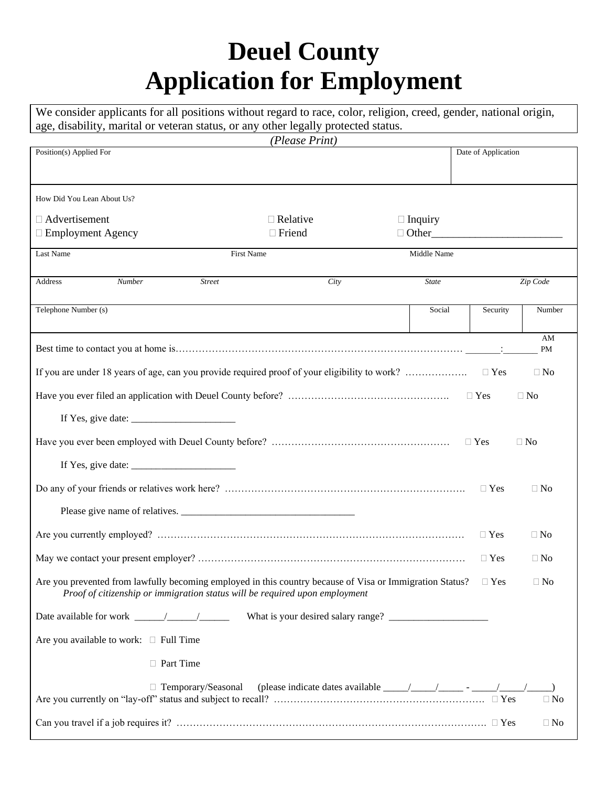## **Deuel County Application for Employment**

We consider applicants for all positions without regard to race, color, religion, creed, gender, national origin, age, disability, marital or veteran status, or any other legally protected status.

| (Please Print)                                                                                                         |                                                                                                                                                                                                                                                                                                                                                                                                       |                |                     |           |  |
|------------------------------------------------------------------------------------------------------------------------|-------------------------------------------------------------------------------------------------------------------------------------------------------------------------------------------------------------------------------------------------------------------------------------------------------------------------------------------------------------------------------------------------------|----------------|---------------------|-----------|--|
| Position(s) Applied For                                                                                                |                                                                                                                                                                                                                                                                                                                                                                                                       |                | Date of Application |           |  |
|                                                                                                                        |                                                                                                                                                                                                                                                                                                                                                                                                       |                |                     |           |  |
|                                                                                                                        |                                                                                                                                                                                                                                                                                                                                                                                                       |                |                     |           |  |
| How Did You Lean About Us?                                                                                             |                                                                                                                                                                                                                                                                                                                                                                                                       |                |                     |           |  |
| □ Advertisement                                                                                                        | $\Box$ Relative                                                                                                                                                                                                                                                                                                                                                                                       | $\Box$ Inquiry |                     |           |  |
| □ Employment Agency                                                                                                    | $\Box$ Friend                                                                                                                                                                                                                                                                                                                                                                                         | $\Box$ Other   |                     |           |  |
| Last Name                                                                                                              | <b>First Name</b>                                                                                                                                                                                                                                                                                                                                                                                     | Middle Name    |                     |           |  |
|                                                                                                                        |                                                                                                                                                                                                                                                                                                                                                                                                       |                |                     |           |  |
| Address<br><b>Number</b><br><b>Street</b>                                                                              | City                                                                                                                                                                                                                                                                                                                                                                                                  | <b>State</b>   |                     | Zip Code  |  |
|                                                                                                                        |                                                                                                                                                                                                                                                                                                                                                                                                       |                |                     |           |  |
| Telephone Number (s)                                                                                                   |                                                                                                                                                                                                                                                                                                                                                                                                       | Social         | Security            | Number    |  |
|                                                                                                                        |                                                                                                                                                                                                                                                                                                                                                                                                       |                |                     |           |  |
|                                                                                                                        |                                                                                                                                                                                                                                                                                                                                                                                                       |                |                     | AM<br>PM  |  |
|                                                                                                                        |                                                                                                                                                                                                                                                                                                                                                                                                       |                |                     |           |  |
| If you are under 18 years of age, can you provide required proof of your eligibility to work?                          |                                                                                                                                                                                                                                                                                                                                                                                                       |                | $\Box$ Yes          | $\Box$ No |  |
|                                                                                                                        |                                                                                                                                                                                                                                                                                                                                                                                                       |                | $\Box$ Yes          | $\Box$ No |  |
|                                                                                                                        |                                                                                                                                                                                                                                                                                                                                                                                                       |                |                     |           |  |
| If Yes, give date: $\frac{1}{\frac{1}{2} \cdot 1}$                                                                     |                                                                                                                                                                                                                                                                                                                                                                                                       |                |                     |           |  |
|                                                                                                                        |                                                                                                                                                                                                                                                                                                                                                                                                       |                |                     | $\Box$ No |  |
|                                                                                                                        |                                                                                                                                                                                                                                                                                                                                                                                                       |                |                     |           |  |
| If Yes, give date: $\frac{1}{\sqrt{1-\frac{1}{2}} \cdot \frac{1}{2}}$                                                  |                                                                                                                                                                                                                                                                                                                                                                                                       |                |                     |           |  |
|                                                                                                                        |                                                                                                                                                                                                                                                                                                                                                                                                       |                | $\Box$ Yes          | $\Box$ No |  |
|                                                                                                                        |                                                                                                                                                                                                                                                                                                                                                                                                       |                |                     |           |  |
|                                                                                                                        |                                                                                                                                                                                                                                                                                                                                                                                                       |                |                     |           |  |
|                                                                                                                        |                                                                                                                                                                                                                                                                                                                                                                                                       |                | $\Box$ Yes          | $\Box$ No |  |
|                                                                                                                        |                                                                                                                                                                                                                                                                                                                                                                                                       |                | $\Box$ Yes          | $\Box$ No |  |
|                                                                                                                        |                                                                                                                                                                                                                                                                                                                                                                                                       |                |                     |           |  |
| Are you prevented from lawfully becoming employed in this country because of Visa or Immigration Status? $\square$ Yes |                                                                                                                                                                                                                                                                                                                                                                                                       |                |                     | $\Box$ No |  |
| Proof of citizenship or immigration status will be required upon employment                                            |                                                                                                                                                                                                                                                                                                                                                                                                       |                |                     |           |  |
|                                                                                                                        | What is your desired salary range?                                                                                                                                                                                                                                                                                                                                                                    |                |                     |           |  |
|                                                                                                                        |                                                                                                                                                                                                                                                                                                                                                                                                       |                |                     |           |  |
| Are you available to work: $\Box$ Full Time                                                                            |                                                                                                                                                                                                                                                                                                                                                                                                       |                |                     |           |  |
| □ Part Time                                                                                                            |                                                                                                                                                                                                                                                                                                                                                                                                       |                |                     |           |  |
| $\Box$ Temporary/Seasonal                                                                                              | (please indicate dates available $\frac{1}{\sqrt{1-\frac{1}{\sqrt{1-\frac{1}{\sqrt{1-\frac{1}{\sqrt{1-\frac{1}{\sqrt{1-\frac{1}{\sqrt{1-\frac{1}{\sqrt{1-\frac{1}{\sqrt{1-\frac{1}{\sqrt{1-\frac{1}{\sqrt{1-\frac{1}{\sqrt{1-\frac{1}{\sqrt{1-\frac{1}{\sqrt{1-\frac{1}{\sqrt{1-\frac{1}{\sqrt{1-\frac{1}{\sqrt{1-\frac{1}{\sqrt{1-\frac{1}{\sqrt{1-\frac{1}{\sqrt{1-\frac{1}{\sqrt{1-\frac{1}{\sqrt$ |                |                     |           |  |
|                                                                                                                        |                                                                                                                                                                                                                                                                                                                                                                                                       |                |                     | $\Box$ No |  |
|                                                                                                                        |                                                                                                                                                                                                                                                                                                                                                                                                       |                |                     |           |  |
|                                                                                                                        |                                                                                                                                                                                                                                                                                                                                                                                                       |                |                     | $\Box$ No |  |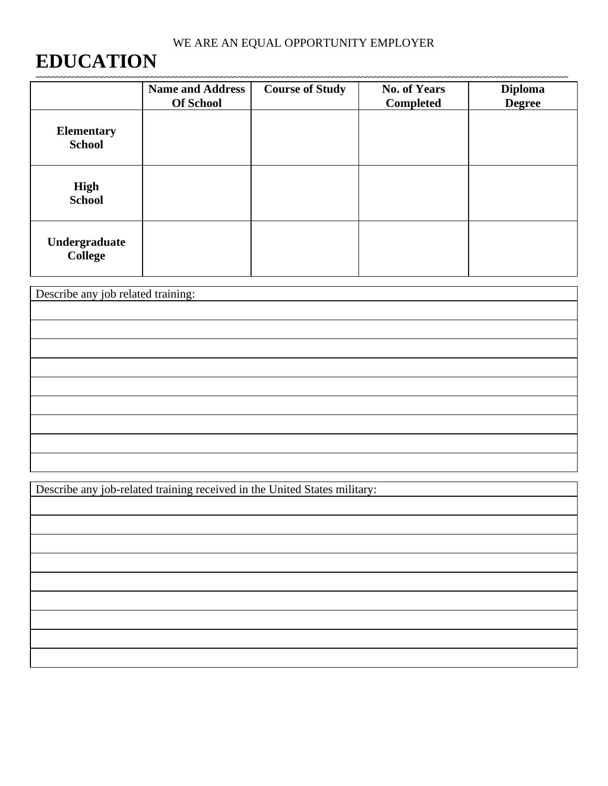## **EDUCATION**

|                                    | <b>Name and Address</b><br><b>Of School</b> | <b>Course of Study</b> | <b>No. of Years</b><br>Completed | <b>Diploma</b><br><b>Degree</b> |  |  |
|------------------------------------|---------------------------------------------|------------------------|----------------------------------|---------------------------------|--|--|
| <b>Elementary</b><br><b>School</b> |                                             |                        |                                  |                                 |  |  |
| <b>High</b><br><b>School</b>       |                                             |                        |                                  |                                 |  |  |
| Undergraduate<br><b>College</b>    |                                             |                        |                                  |                                 |  |  |

| Describe any job related training: |  |  |  |  |
|------------------------------------|--|--|--|--|
|                                    |  |  |  |  |
|                                    |  |  |  |  |
|                                    |  |  |  |  |
|                                    |  |  |  |  |
|                                    |  |  |  |  |
|                                    |  |  |  |  |
|                                    |  |  |  |  |
|                                    |  |  |  |  |
|                                    |  |  |  |  |

Describe any job-related training received in the United States military: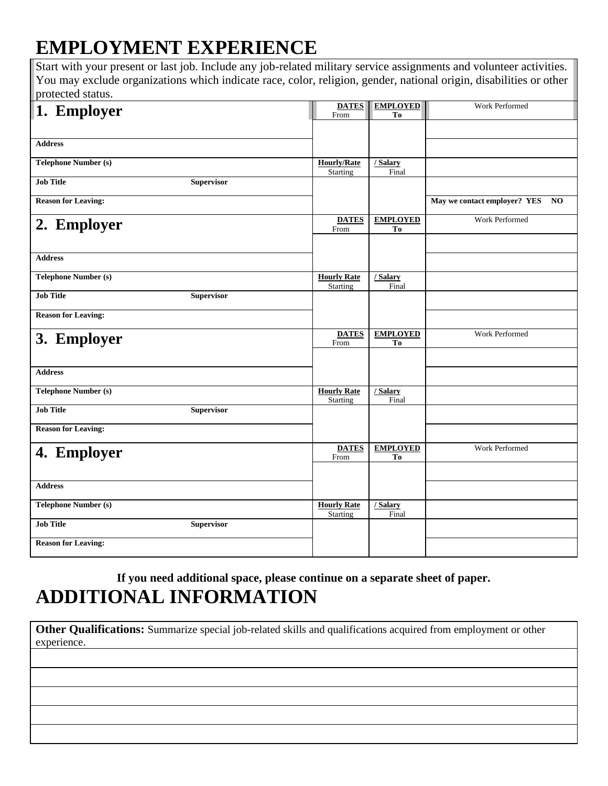## **EMPLOYMENT EXPERIENCE**

Start with your present or last job. Include any job-related military service assignments and volunteer activities. You may exclude organizations which indicate race, color, religion, gender, national origin, disabilities or other protected status.

| 1. Employer                           | <b>DATES</b><br>From           | <b>EMPLOYED</b><br>T <sub>0</sub> | Work Performed                  |
|---------------------------------------|--------------------------------|-----------------------------------|---------------------------------|
|                                       |                                |                                   |                                 |
| <b>Address</b>                        |                                |                                   |                                 |
| <b>Telephone Number (s)</b>           | <b>Hourly/Rate</b>             | / Salary                          |                                 |
| <b>Job Title</b><br>Supervisor        | Starting                       | Final                             |                                 |
| <b>Reason for Leaving:</b>            |                                |                                   | May we contact employer? YES NO |
| 2. Employer                           | <b>DATES</b><br>From           | <b>EMPLOYED</b><br>T <sub>0</sub> | Work Performed                  |
|                                       |                                |                                   |                                 |
| <b>Address</b>                        |                                |                                   |                                 |
| <b>Telephone Number (s)</b>           | <b>Hourly Rate</b><br>Starting | / Salary<br>Final                 |                                 |
| <b>Job Title</b><br><b>Supervisor</b> |                                |                                   |                                 |
| <b>Reason for Leaving:</b>            |                                |                                   |                                 |
|                                       | <b>DATES</b>                   | <b>EMPLOYED</b>                   | Work Performed                  |
| 3. Employer                           | From                           | To                                |                                 |
|                                       |                                |                                   |                                 |
| <b>Address</b>                        |                                |                                   |                                 |
| <b>Telephone Number (s)</b>           | <b>Hourly Rate</b><br>Starting | / Salary<br>Final                 |                                 |
| <b>Job Title</b><br><b>Supervisor</b> |                                |                                   |                                 |
| <b>Reason for Leaving:</b>            |                                |                                   |                                 |
| 4. Employer                           | <b>DATES</b><br>From           | <b>EMPLOYED</b><br>To             | Work Performed                  |
|                                       |                                |                                   |                                 |
| <b>Address</b>                        |                                |                                   |                                 |
| <b>Telephone Number (s)</b>           | <b>Hourly Rate</b><br>Starting | / Salary<br>Final                 |                                 |
| <b>Job Title</b><br><b>Supervisor</b> |                                |                                   |                                 |

**If you need additional space, please continue on a separate sheet of paper. ADDITIONAL INFORMATION**

**Other Qualifications:** Summarize special job-related skills and qualifications acquired from employment or other experience.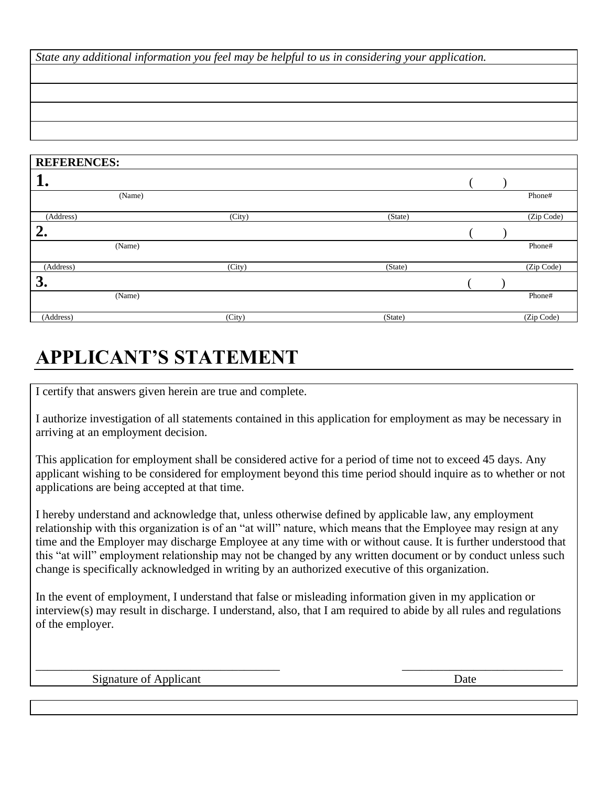*State any additional information you feel may be helpful to us in considering your application.*

| <b>REFERENCES:</b> |        |        |         |  |            |
|--------------------|--------|--------|---------|--|------------|
| 1.                 |        |        |         |  |            |
|                    | (Name) |        |         |  | Phone#     |
| (Address)          |        | (City) | (State) |  | (Zip Code) |
| 2.                 |        |        |         |  |            |
|                    | (Name) |        |         |  | Phone#     |
| (Address)          |        | (City) | (State) |  | (Zip Code) |
| 3.                 |        |        |         |  |            |
|                    | (Name) |        |         |  | Phone#     |
| (Address)          |        | (City) | (State) |  | (Zip Code) |

## **APPLICANT'S STATEMENT**

I certify that answers given herein are true and complete.

I authorize investigation of all statements contained in this application for employment as may be necessary in arriving at an employment decision.

This application for employment shall be considered active for a period of time not to exceed 45 days. Any applicant wishing to be considered for employment beyond this time period should inquire as to whether or not applications are being accepted at that time.

I hereby understand and acknowledge that, unless otherwise defined by applicable law, any employment relationship with this organization is of an "at will" nature, which means that the Employee may resign at any time and the Employer may discharge Employee at any time with or without cause. It is further understood that this "at will" employment relationship may not be changed by any written document or by conduct unless such change is specifically acknowledged in writing by an authorized executive of this organization.

In the event of employment, I understand that false or misleading information given in my application or interview(s) may result in discharge. I understand, also, that I am required to abide by all rules and regulations of the employer.

\_\_\_\_\_\_\_\_\_\_\_\_\_\_\_\_\_\_\_\_\_\_\_\_\_\_\_\_\_\_\_\_\_\_\_\_\_\_\_\_\_ \_\_\_\_\_\_\_\_\_\_\_\_\_\_\_\_\_\_\_\_\_\_\_\_\_\_\_

Signature of Applicant Date